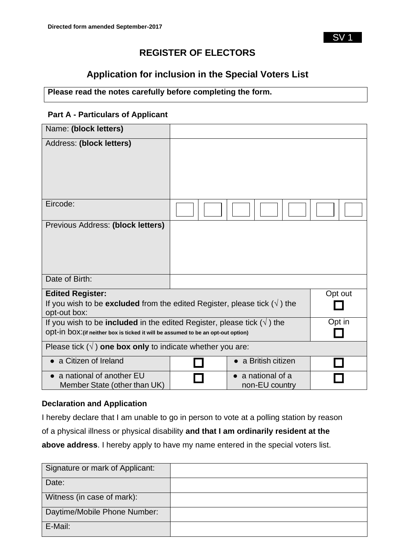SV 1

# **REGISTER OF ELECTORS**

# **Application for inclusion in the Special Voters List**

# **Please read the notes carefully before completing the form.**

# **Part A - Particulars of Applicant**

| Name: (block letters)                                                                                                                                                                |  |                                             |         |
|--------------------------------------------------------------------------------------------------------------------------------------------------------------------------------------|--|---------------------------------------------|---------|
| Address: (block letters)                                                                                                                                                             |  |                                             |         |
| Eircode:                                                                                                                                                                             |  |                                             |         |
| Previous Address: (block letters)                                                                                                                                                    |  |                                             |         |
| Date of Birth:                                                                                                                                                                       |  |                                             |         |
| <b>Edited Register:</b>                                                                                                                                                              |  |                                             | Opt out |
| If you wish to be <b>excluded</b> from the edited Register, please tick $(\sqrt{})$ the<br>opt-out box:                                                                              |  |                                             |         |
| Opt in<br>If you wish to be <b>included</b> in the edited Register, please tick $(\sqrt{})$ the<br>Opt-in box: (if neither box is ticked it will be assumed to be an opt-out option) |  |                                             |         |
| Please tick $(\sqrt{})$ one box only to indicate whether you are:                                                                                                                    |  |                                             |         |
| a Citizen of Ireland                                                                                                                                                                 |  | a British citizen                           |         |
| • a national of another EU<br>Member State (other than UK)                                                                                                                           |  | $\bullet$ a national of a<br>non-EU country |         |

#### **Declaration and Application**

I hereby declare that I am unable to go in person to vote at a polling station by reason of a physical illness or physical disability **and that I am ordinarily resident at the** 

**above address**. I hereby apply to have my name entered in the special voters list.

| Signature or mark of Applicant: |  |
|---------------------------------|--|
| Date:                           |  |
| Witness (in case of mark):      |  |
| Daytime/Mobile Phone Number:    |  |
| E-Mail:                         |  |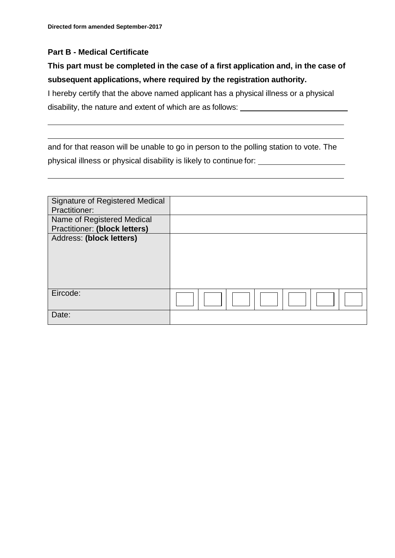### **Part B - Medical Certificate**

# **This part must be completed in the case of a first application and, in the case of subsequent applications, where required by the registration authority.**

I hereby certify that the above named applicant has a physical illness or a physical disability, the nature and extent of which are as follows:

and for that reason will be unable to go in person to the polling station to vote. The physical illness or physical disability is likely to continue for:

| <b>Signature of Registered Medical</b> |  |
|----------------------------------------|--|
| Practitioner:                          |  |
| Name of Registered Medical             |  |
| <b>Practitioner: (block letters)</b>   |  |
| Address: (block letters)               |  |
|                                        |  |
|                                        |  |
|                                        |  |
|                                        |  |
|                                        |  |
| Eircode:                               |  |
|                                        |  |
| Date:                                  |  |
|                                        |  |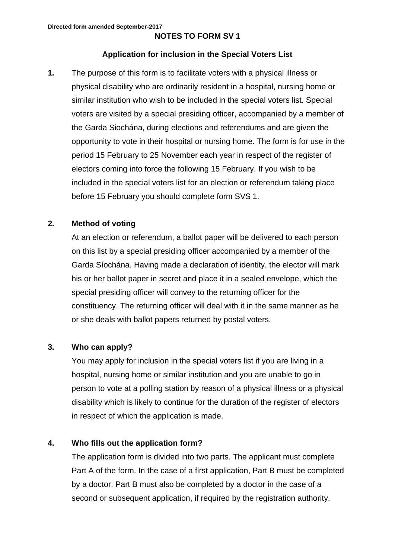### **NOTES TO FORM SV 1**

#### **Application for inclusion in the Special Voters List**

**1.** The purpose of this form is to facilitate voters with a physical illness or physical disability who are ordinarily resident in a hospital, nursing home or similar institution who wish to be included in the special voters list. Special voters are visited by a special presiding officer, accompanied by a member of the Garda Siochána, during elections and referendums and are given the opportunity to vote in their hospital or nursing home. The form is for use in the period 15 February to 25 November each year in respect of the register of electors coming into force the following 15 February. If you wish to be included in the special voters list for an election or referendum taking place before 15 February you should complete form SVS 1.

### **2. Method of voting**

At an election or referendum, a ballot paper will be delivered to each person on this list by a special presiding officer accompanied by a member of the Garda Síochána. Having made a declaration of identity, the elector will mark his or her ballot paper in secret and place it in a sealed envelope, which the special presiding officer will convey to the returning officer for the constituency. The returning officer will deal with it in the same manner as he or she deals with ballot papers returned by postal voters.

#### **3. Who can apply?**

You may apply for inclusion in the special voters list if you are living in a hospital, nursing home or similar institution and you are unable to go in person to vote at a polling station by reason of a physical illness or a physical disability which is likely to continue for the duration of the register of electors in respect of which the application is made.

### **4. Who fills out the application form?**

The application form is divided into two parts. The applicant must complete Part A of the form. In the case of a first application, Part B must be completed by a doctor. Part B must also be completed by a doctor in the case of a second or subsequent application, if required by the registration authority.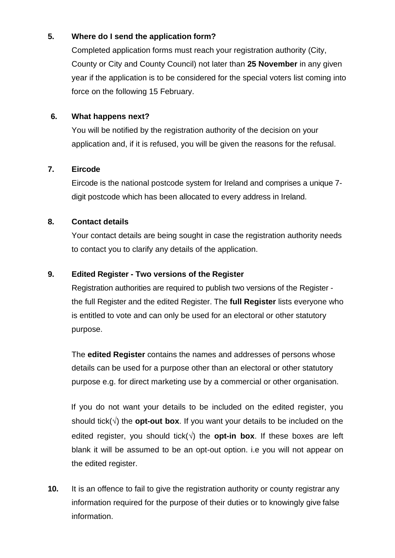# **5. Where do I send the application form?**

Completed application forms must reach your registration authority (City, County or City and County Council) not later than **25 November** in any given year if the application is to be considered for the special voters list coming into force on the following 15 February.

# **6. What happens next?**

You will be notified by the registration authority of the decision on your application and, if it is refused, you will be given the reasons for the refusal.

# **7. Eircode**

Eircode is the national postcode system for Ireland and comprises a unique 7 digit postcode which has been allocated to every address in Ireland.

# **8. Contact details**

Your contact details are being sought in case the registration authority needs to contact you to clarify any details of the application.

# **9. Edited Register - Two versions of the Register**

Registration authorities are required to publish two versions of the Register the full Register and the edited Register. The **full Register** lists everyone who is entitled to vote and can only be used for an electoral or other statutory purpose.

The **edited Register** contains the names and addresses of persons whose details can be used for a purpose other than an electoral or other statutory purpose e.g. for direct marketing use by a commercial or other organisation.

If you do not want your details to be included on the edited register, you should tick( $\sqrt{ }$ ) the **opt-out box**. If you want your details to be included on the edited register, you should tick( $\sqrt{ }$ ) the **opt-in box**. If these boxes are left blank it will be assumed to be an opt-out option. i.e you will not appear on the edited register.

**10.** It is an offence to fail to give the registration authority or county registrar any information required for the purpose of their duties or to knowingly give false information.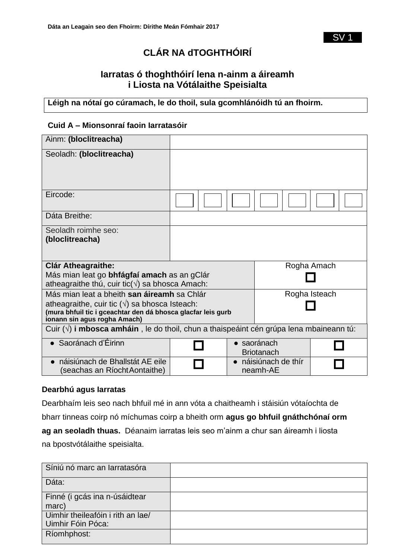SV 1

# **CLÁR NA dTOGHTHÓIRÍ**

# **Iarratas ó thoghthóirí lena n-ainm a áireamh i Liosta na Vótálaithe Speisialta**

**Léigh na nótaí go cúramach, le do thoil, sula gcomhlánóidh tú an fhoirm.**

### **Cuid A – Mionsonraí faoin Iarratasóir**

| Ainm: (bloclitreacha)                                                                                                                                 |  |  |                                |  |
|-------------------------------------------------------------------------------------------------------------------------------------------------------|--|--|--------------------------------|--|
| Seoladh: (bloclitreacha)                                                                                                                              |  |  |                                |  |
| Eircode:                                                                                                                                              |  |  |                                |  |
| Dáta Breithe:                                                                                                                                         |  |  |                                |  |
| Seoladh roimhe seo:<br>(bloclitreacha)                                                                                                                |  |  |                                |  |
| <b>Clár Atheagraithe:</b>                                                                                                                             |  |  | Rogha Amach                    |  |
| Más mian leat go <b>bhfágfaí amach</b> as an gClár<br>atheagraithe thú, cuir tic( $\sqrt{ }$ ) sa bhosca Amach:                                       |  |  |                                |  |
| Más mian leat a bheith san áireamh sa Chlár                                                                                                           |  |  | Rogha Isteach                  |  |
| atheagraithe, cuir tic $(\sqrt{)}$ sa bhosca Isteach:<br>(mura bhfuil tic i gceachtar den dá bhosca glacfar leis gurb<br>ionann sin agus rogha Amach) |  |  |                                |  |
| Cuir $(\sqrt{ } )$ i mbosca amháin, le do thoil, chun a thaispeáint cén grúpa lena mbaineann tú:                                                      |  |  |                                |  |
| Saoránach d'Éirinn                                                                                                                                    |  |  | saoránach<br><b>Briotanach</b> |  |
| náisiúnach de Bhallstát AE eile<br>(seachas an Ríocht Aontaithe)                                                                                      |  |  | náisiúnach de thír<br>neamh-AE |  |

### **Dearbhú agus Iarratas**

Dearbhaím leis seo nach bhfuil mé in ann vóta a chaitheamh i stáisiún vótaíochta de

bharr tinneas coirp nó míchumas coirp a bheith orm **agus go bhfuil gnáthchónaí orm** 

**ag an seoladh thuas.** Déanaim iarratas leis seo m'ainm a chur san áireamh i liosta

na bpostvótálaithe speisialta.

| Síniú nó marc an Iarratasóra      |  |
|-----------------------------------|--|
| Dáta:                             |  |
| Finné (i gcás ina n-úsáidtear     |  |
| marc)                             |  |
| Uimhir theileafóin i rith an lae/ |  |
| Uimhir Fóin Póca:                 |  |
| Ríomhphost:                       |  |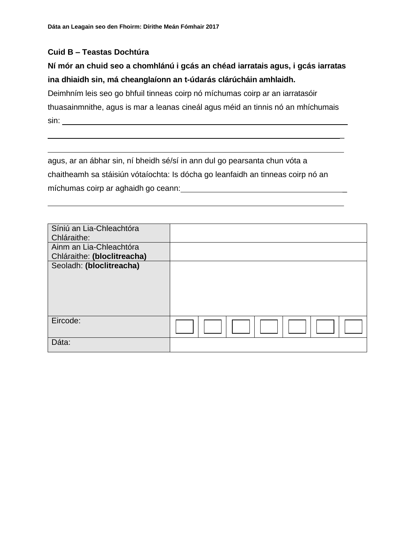### **Cuid B – Teastas Dochtúra**

# **Ní mór an chuid seo a chomhlánú i gcás an chéad iarratais agus, i gcás iarratas ina dhiaidh sin, má cheanglaíonn an t-údarás clárúcháin amhlaidh.**

Deimhním leis seo go bhfuil tinneas coirp nó míchumas coirp ar an iarratasóir thuasainmnithe, agus is mar a leanas cineál agus méid an tinnis nó an mhíchumais sin:

\_

agus, ar an ábhar sin, ní bheidh sé/sí in ann dul go pearsanta chun vóta a chaitheamh sa stáisiún vótaíochta: Is dócha go leanfaidh an tinneas coirp nó an míchumas coirp ar aghaidh go ceann: \_

| Síniú an Lia-Chleachtóra<br>Chláraithe:                |  |
|--------------------------------------------------------|--|
| Ainm an Lia-Chleachtóra<br>Chláraithe: (bloclitreacha) |  |
| Seoladh: (bloclitreacha)                               |  |
|                                                        |  |
|                                                        |  |
| Eircode:                                               |  |
| Dáta:                                                  |  |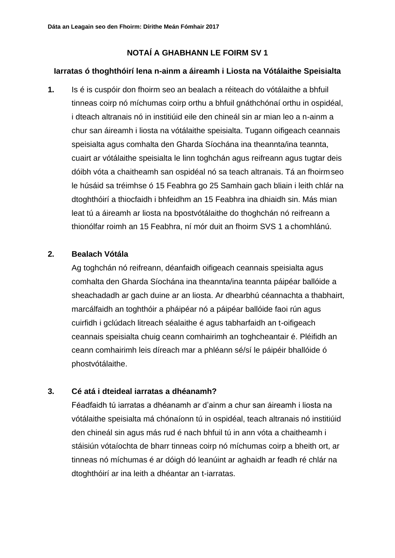# **NOTAÍ A GHABHANN LE FOIRM SV 1**

### **Iarratas ó thoghthóirí lena n-ainm a áireamh i Liosta na Vótálaithe Speisialta**

**1.** Is é is cuspóir don fhoirm seo an bealach a réiteach do vótálaithe a bhfuil tinneas coirp nó míchumas coirp orthu a bhfuil gnáthchónaí orthu in ospidéal, i dteach altranais nó in institiúid eile den chineál sin ar mian leo a n-ainm a chur san áireamh i liosta na vótálaithe speisialta. Tugann oifigeach ceannais speisialta agus comhalta den Gharda Síochána ina theannta/ina teannta, cuairt ar vótálaithe speisialta le linn toghchán agus reifreann agus tugtar deis dóibh vóta a chaitheamh san ospidéal nó sa teach altranais. Tá an fhoirmseo le húsáid sa tréimhse ó 15 Feabhra go 25 Samhain gach bliain i leith chlár na dtoghthóirí a thiocfaidh i bhfeidhm an 15 Feabhra ina dhiaidh sin. Más mian leat tú a áireamh ar liosta na bpostvótálaithe do thoghchán nó reifreann a thionólfar roimh an 15 Feabhra, ní mór duit an fhoirm SVS 1 a chomhlánú.

### **2. Bealach Vótála**

Ag toghchán nó reifreann, déanfaidh oifigeach ceannais speisialta agus comhalta den Gharda Síochána ina theannta/ina teannta páipéar ballóide a sheachadadh ar gach duine ar an liosta. Ar dhearbhú céannachta a thabhairt, marcálfaidh an toghthóir a pháipéar nó a páipéar ballóide faoi rún agus cuirfidh i gclúdach litreach séalaithe é agus tabharfaidh an t-oifigeach ceannais speisialta chuig ceann comhairimh an toghcheantair é. Pléifidh an ceann comhairimh leis díreach mar a phléann sé/sí le páipéir bhallóide ó phostvótálaithe.

# **3. Cé atá i dteideal iarratas a dhéanamh?**

Féadfaidh tú iarratas a dhéanamh ar d'ainm a chur san áireamh i liosta na vótálaithe speisialta má chónaíonn tú in ospidéal, teach altranais nó institiúid den chineál sin agus más rud é nach bhfuil tú in ann vóta a chaitheamh i stáisiún vótaíochta de bharr tinneas coirp nó míchumas coirp a bheith ort, ar tinneas nó míchumas é ar dóigh dó leanúint ar aghaidh ar feadh ré chlár na dtoghthóirí ar ina leith a dhéantar an t-iarratas.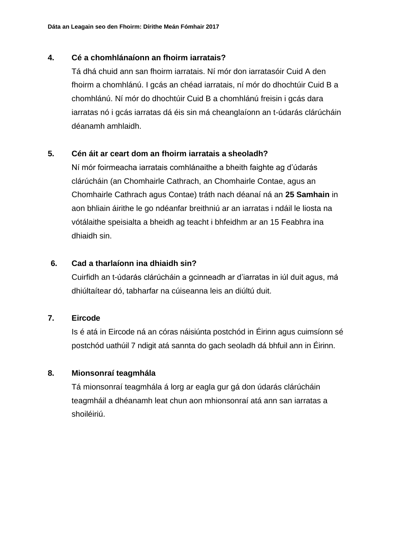# **4. Cé a chomhlánaíonn an fhoirm iarratais?**

Tá dhá chuid ann san fhoirm iarratais. Ní mór don iarratasóir Cuid A den fhoirm a chomhlánú. I gcás an chéad iarratais, ní mór do dhochtúir Cuid B a chomhlánú. Ní mór do dhochtúir Cuid B a chomhlánú freisin i gcás dara iarratas nó i gcás iarratas dá éis sin má cheanglaíonn an t-údarás clárúcháin déanamh amhlaidh.

# **5. Cén áit ar ceart dom an fhoirm iarratais a sheoladh?**

Ní mór foirmeacha iarratais comhlánaithe a bheith faighte ag d'údarás clárúcháin (an Chomhairle Cathrach, an Chomhairle Contae, agus an Chomhairle Cathrach agus Contae) tráth nach déanaí ná an **25 Samhain** in aon bhliain áirithe le go ndéanfar breithniú ar an iarratas i ndáil le liosta na vótálaithe speisialta a bheidh ag teacht i bhfeidhm ar an 15 Feabhra ina dhiaidh sin.

# **6. Cad a tharlaíonn ina dhiaidh sin?**

Cuirfidh an t-údarás clárúcháin a gcinneadh ar d'iarratas in iúl duit agus, má dhiúltaítear dó, tabharfar na cúiseanna leis an diúltú duit.

# **7. Eircode**

Is é atá in Eircode ná an córas náisiúnta postchód in Éirinn agus cuimsíonn sé postchód uathúil 7 ndigit atá sannta do gach seoladh dá bhfuil ann in Éirinn.

# **8. Mionsonraí teagmhála**

Tá mionsonraí teagmhála á lorg ar eagla gur gá don údarás clárúcháin teagmháil a dhéanamh leat chun aon mhionsonraí atá ann san iarratas a shoiléiriú.